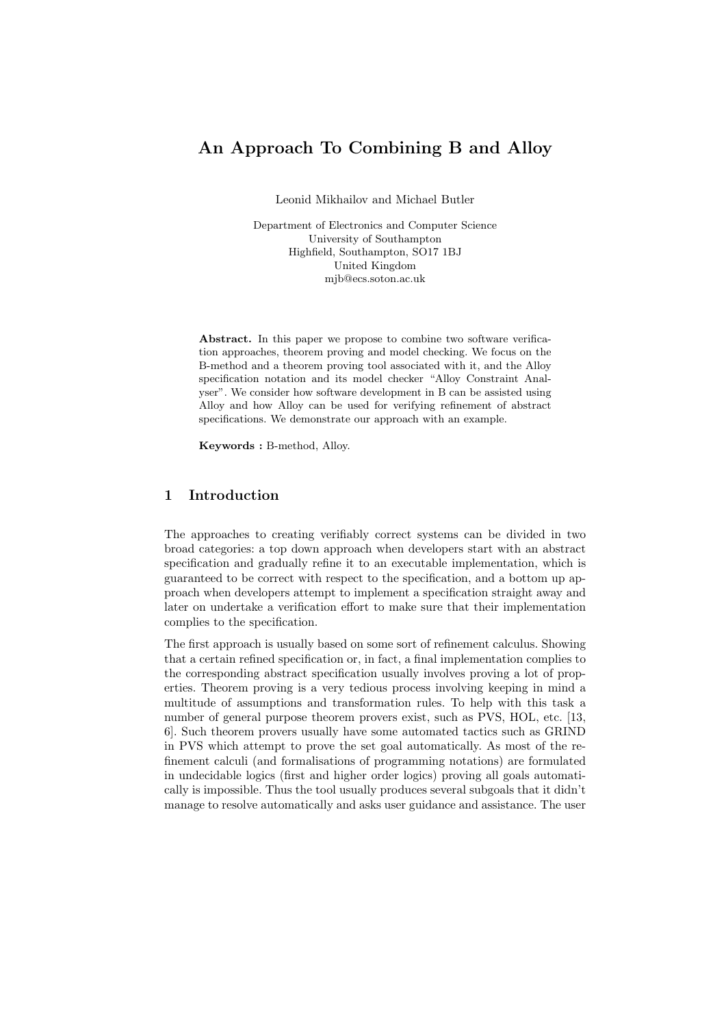# An Approach To Combining B and Alloy

Leonid Mikhailov and Michael Butler

Department of Electronics and Computer Science University of Southampton Highfield, Southampton, SO17 1BJ United Kingdom mjb@ecs.soton.ac.uk

Abstract. In this paper we propose to combine two software verification approaches, theorem proving and model checking. We focus on the B-method and a theorem proving tool associated with it, and the Alloy specification notation and its model checker "Alloy Constraint Analyser". We consider how software development in B can be assisted using Alloy and how Alloy can be used for verifying refinement of abstract specifications. We demonstrate our approach with an example.

Keywords : B-method, Alloy.

### 1 Introduction

The approaches to creating verifiably correct systems can be divided in two broad categories: a top down approach when developers start with an abstract specification and gradually refine it to an executable implementation, which is guaranteed to be correct with respect to the specification, and a bottom up approach when developers attempt to implement a specification straight away and later on undertake a verification effort to make sure that their implementation complies to the specification.

The first approach is usually based on some sort of refinement calculus. Showing that a certain refined specification or, in fact, a final implementation complies to the corresponding abstract specification usually involves proving a lot of properties. Theorem proving is a very tedious process involving keeping in mind a multitude of assumptions and transformation rules. To help with this task a number of general purpose theorem provers exist, such as PVS, HOL, etc. [13, 6]. Such theorem provers usually have some automated tactics such as GRIND in PVS which attempt to prove the set goal automatically. As most of the refinement calculi (and formalisations of programming notations) are formulated in undecidable logics (first and higher order logics) proving all goals automatically is impossible. Thus the tool usually produces several subgoals that it didn't manage to resolve automatically and asks user guidance and assistance. The user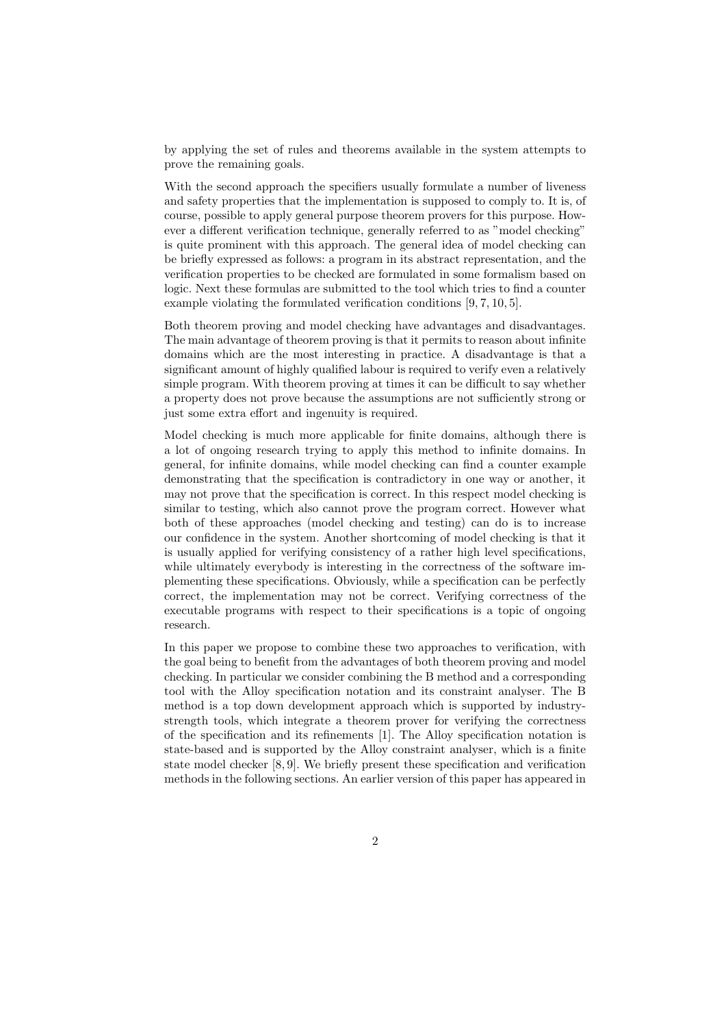by applying the set of rules and theorems available in the system attempts to prove the remaining goals.

With the second approach the specifiers usually formulate a number of liveness and safety properties that the implementation is supposed to comply to. It is, of course, possible to apply general purpose theorem provers for this purpose. However a different verification technique, generally referred to as "model checking" is quite prominent with this approach. The general idea of model checking can be briefly expressed as follows: a program in its abstract representation, and the verification properties to be checked are formulated in some formalism based on logic. Next these formulas are submitted to the tool which tries to find a counter example violating the formulated verification conditions [9, 7, 10, 5].

Both theorem proving and model checking have advantages and disadvantages. The main advantage of theorem proving is that it permits to reason about infinite domains which are the most interesting in practice. A disadvantage is that a significant amount of highly qualified labour is required to verify even a relatively simple program. With theorem proving at times it can be difficult to say whether a property does not prove because the assumptions are not sufficiently strong or just some extra effort and ingenuity is required.

Model checking is much more applicable for finite domains, although there is a lot of ongoing research trying to apply this method to infinite domains. In general, for infinite domains, while model checking can find a counter example demonstrating that the specification is contradictory in one way or another, it may not prove that the specification is correct. In this respect model checking is similar to testing, which also cannot prove the program correct. However what both of these approaches (model checking and testing) can do is to increase our confidence in the system. Another shortcoming of model checking is that it is usually applied for verifying consistency of a rather high level specifications, while ultimately everybody is interesting in the correctness of the software implementing these specifications. Obviously, while a specification can be perfectly correct, the implementation may not be correct. Verifying correctness of the executable programs with respect to their specifications is a topic of ongoing research.

In this paper we propose to combine these two approaches to verification, with the goal being to benefit from the advantages of both theorem proving and model checking. In particular we consider combining the B method and a corresponding tool with the Alloy specification notation and its constraint analyser. The B method is a top down development approach which is supported by industrystrength tools, which integrate a theorem prover for verifying the correctness of the specification and its refinements [1]. The Alloy specification notation is state-based and is supported by the Alloy constraint analyser, which is a finite state model checker [8, 9]. We briefly present these specification and verification methods in the following sections. An earlier version of this paper has appeared in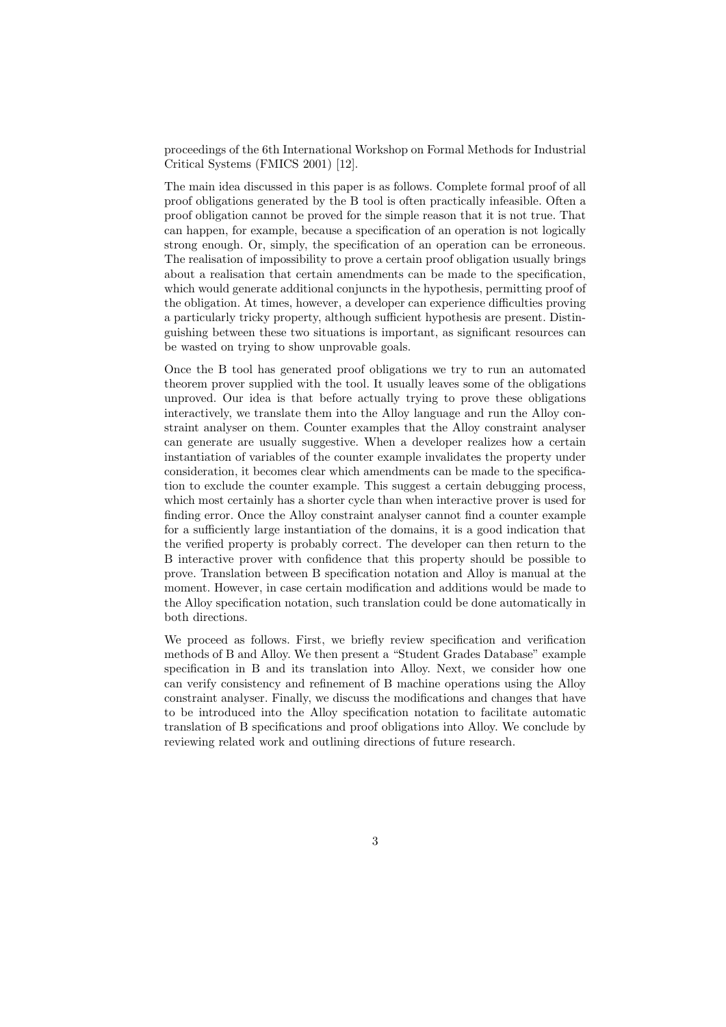proceedings of the 6th International Workshop on Formal Methods for Industrial Critical Systems (FMICS 2001) [12].

The main idea discussed in this paper is as follows. Complete formal proof of all proof obligations generated by the B tool is often practically infeasible. Often a proof obligation cannot be proved for the simple reason that it is not true. That can happen, for example, because a specification of an operation is not logically strong enough. Or, simply, the specification of an operation can be erroneous. The realisation of impossibility to prove a certain proof obligation usually brings about a realisation that certain amendments can be made to the specification, which would generate additional conjuncts in the hypothesis, permitting proof of the obligation. At times, however, a developer can experience difficulties proving a particularly tricky property, although sufficient hypothesis are present. Distinguishing between these two situations is important, as significant resources can be wasted on trying to show unprovable goals.

Once the B tool has generated proof obligations we try to run an automated theorem prover supplied with the tool. It usually leaves some of the obligations unproved. Our idea is that before actually trying to prove these obligations interactively, we translate them into the Alloy language and run the Alloy constraint analyser on them. Counter examples that the Alloy constraint analyser can generate are usually suggestive. When a developer realizes how a certain instantiation of variables of the counter example invalidates the property under consideration, it becomes clear which amendments can be made to the specification to exclude the counter example. This suggest a certain debugging process, which most certainly has a shorter cycle than when interactive prover is used for finding error. Once the Alloy constraint analyser cannot find a counter example for a sufficiently large instantiation of the domains, it is a good indication that the verified property is probably correct. The developer can then return to the B interactive prover with confidence that this property should be possible to prove. Translation between B specification notation and Alloy is manual at the moment. However, in case certain modification and additions would be made to the Alloy specification notation, such translation could be done automatically in both directions.

We proceed as follows. First, we briefly review specification and verification methods of B and Alloy. We then present a "Student Grades Database" example specification in B and its translation into Alloy. Next, we consider how one can verify consistency and refinement of B machine operations using the Alloy constraint analyser. Finally, we discuss the modifications and changes that have to be introduced into the Alloy specification notation to facilitate automatic translation of B specifications and proof obligations into Alloy. We conclude by reviewing related work and outlining directions of future research.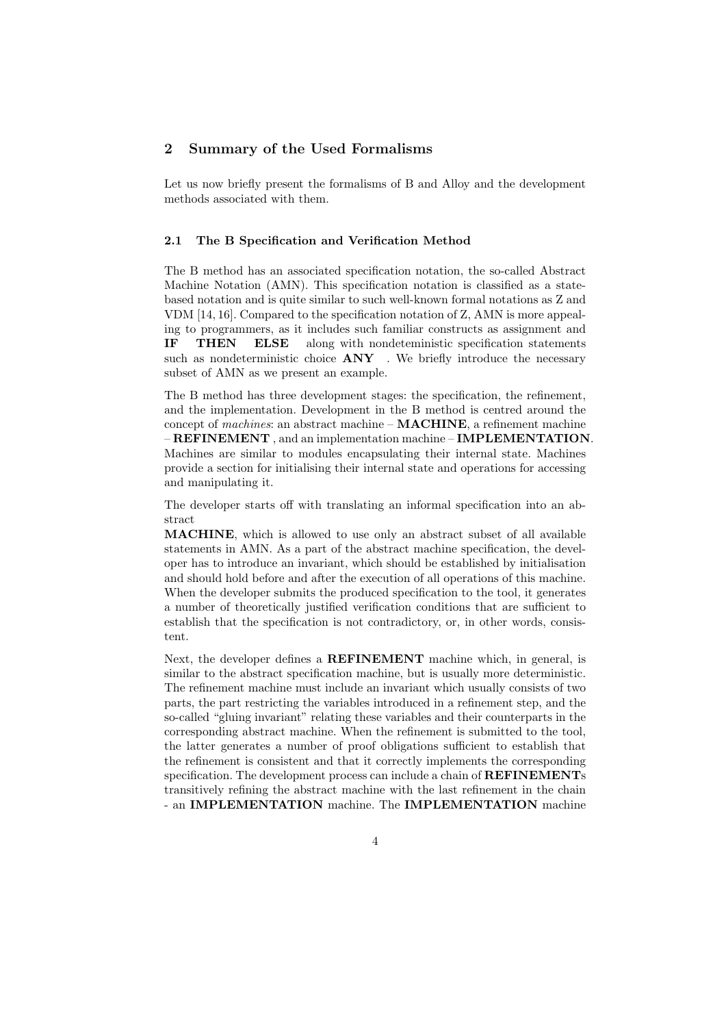### 2 Summary of the Used Formalisms

Let us now briefly present the formalisms of B and Alloy and the development methods associated with them.

#### 2.1 The B Specification and Verification Method

The B method has an associated specification notation, the so-called Abstract Machine Notation (AMN). This specification notation is classified as a statebased notation and is quite similar to such well-known formal notations as Z and VDM [14, 16]. Compared to the specification notation of Z, AMN is more appealing to programmers, as it includes such familiar constructs as assignment and IF THEN ELSE along with nondeteministic specification statements such as nondeterministic choice  $\bf{ANY}$ . We briefly introduce the necessary subset of AMN as we present an example.

The B method has three development stages: the specification, the refinement, and the implementation. Development in the B method is centred around the concept of machines: an abstract machine –  $\text{MACHINE}$ , a refinement machine  $-$ **REFINEMENT**, and an implementation machine  $-$ **IMPLEMENTATION.** Machines are similar to modules encapsulating their internal state. Machines provide a section for initialising their internal state and operations for accessing and manipulating it.

The developer starts off with translating an informal specification into an abstract

MACHINE, which is allowed to use only an abstract subset of all available statements in AMN. As a part of the abstract machine specification, the developer has to introduce an invariant, which should be established by initialisation and should hold before and after the execution of all operations of this machine. When the developer submits the produced specification to the tool, it generates a number of theoretically justified verification conditions that are sufficient to establish that the specification is not contradictory, or, in other words, consistent.

Next, the developer defines a REFINEMENT machine which, in general, is similar to the abstract specification machine, but is usually more deterministic. The refinement machine must include an invariant which usually consists of two parts, the part restricting the variables introduced in a refinement step, and the so-called "gluing invariant" relating these variables and their counterparts in the corresponding abstract machine. When the refinement is submitted to the tool, the latter generates a number of proof obligations sufficient to establish that the refinement is consistent and that it correctly implements the corresponding specification. The development process can include a chain of **REFINEMENT**s transitively refining the abstract machine with the last refinement in the chain - an IMPLEMENTATION machine. The IMPLEMENTATION machine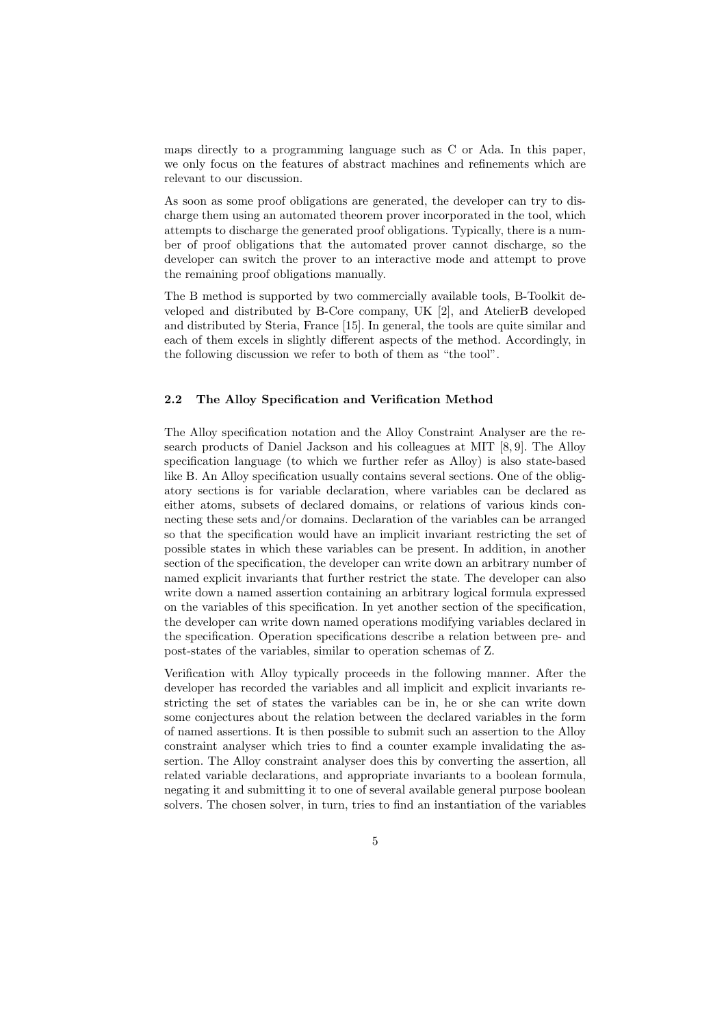maps directly to a programming language such as C or Ada. In this paper, we only focus on the features of abstract machines and refinements which are relevant to our discussion.

As soon as some proof obligations are generated, the developer can try to discharge them using an automated theorem prover incorporated in the tool, which attempts to discharge the generated proof obligations. Typically, there is a number of proof obligations that the automated prover cannot discharge, so the developer can switch the prover to an interactive mode and attempt to prove the remaining proof obligations manually.

The B method is supported by two commercially available tools, B-Toolkit developed and distributed by B-Core company, UK [2], and AtelierB developed and distributed by Steria, France [15]. In general, the tools are quite similar and each of them excels in slightly different aspects of the method. Accordingly, in the following discussion we refer to both of them as "the tool".

#### 2.2 The Alloy Specification and Verification Method

The Alloy specification notation and the Alloy Constraint Analyser are the research products of Daniel Jackson and his colleagues at MIT [8, 9]. The Alloy specification language (to which we further refer as Alloy) is also state-based like B. An Alloy specification usually contains several sections. One of the obligatory sections is for variable declaration, where variables can be declared as either atoms, subsets of declared domains, or relations of various kinds connecting these sets and/or domains. Declaration of the variables can be arranged so that the specification would have an implicit invariant restricting the set of possible states in which these variables can be present. In addition, in another section of the specification, the developer can write down an arbitrary number of named explicit invariants that further restrict the state. The developer can also write down a named assertion containing an arbitrary logical formula expressed on the variables of this specification. In yet another section of the specification, the developer can write down named operations modifying variables declared in the specification. Operation specifications describe a relation between pre- and post-states of the variables, similar to operation schemas of Z.

Verification with Alloy typically proceeds in the following manner. After the developer has recorded the variables and all implicit and explicit invariants restricting the set of states the variables can be in, he or she can write down some conjectures about the relation between the declared variables in the form of named assertions. It is then possible to submit such an assertion to the Alloy constraint analyser which tries to find a counter example invalidating the assertion. The Alloy constraint analyser does this by converting the assertion, all related variable declarations, and appropriate invariants to a boolean formula, negating it and submitting it to one of several available general purpose boolean solvers. The chosen solver, in turn, tries to find an instantiation of the variables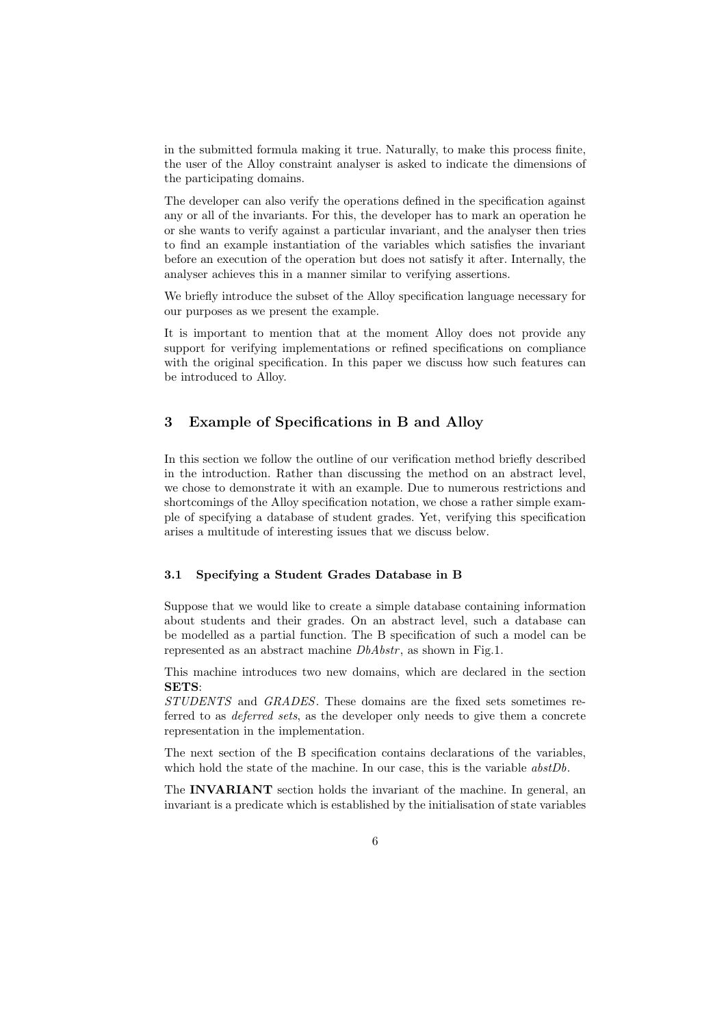in the submitted formula making it true. Naturally, to make this process finite, the user of the Alloy constraint analyser is asked to indicate the dimensions of the participating domains.

The developer can also verify the operations defined in the specification against any or all of the invariants. For this, the developer has to mark an operation he or she wants to verify against a particular invariant, and the analyser then tries to find an example instantiation of the variables which satisfies the invariant before an execution of the operation but does not satisfy it after. Internally, the analyser achieves this in a manner similar to verifying assertions.

We briefly introduce the subset of the Alloy specification language necessary for our purposes as we present the example.

It is important to mention that at the moment Alloy does not provide any support for verifying implementations or refined specifications on compliance with the original specification. In this paper we discuss how such features can be introduced to Alloy.

### 3 Example of Specifications in B and Alloy

In this section we follow the outline of our verification method briefly described in the introduction. Rather than discussing the method on an abstract level, we chose to demonstrate it with an example. Due to numerous restrictions and shortcomings of the Alloy specification notation, we chose a rather simple example of specifying a database of student grades. Yet, verifying this specification arises a multitude of interesting issues that we discuss below.

### 3.1 Specifying a Student Grades Database in B

Suppose that we would like to create a simple database containing information about students and their grades. On an abstract level, such a database can be modelled as a partial function. The B specification of such a model can be represented as an abstract machine *DbAbstr*, as shown in Fig.1.

This machine introduces two new domains, which are declared in the section SETS:

STUDENTS and GRADES. These domains are the fixed sets sometimes referred to as deferred sets, as the developer only needs to give them a concrete representation in the implementation.

The next section of the B specification contains declarations of the variables, which hold the state of the machine. In our case, this is the variable  $abstDb$ .

The INVARIANT section holds the invariant of the machine. In general, an invariant is a predicate which is established by the initialisation of state variables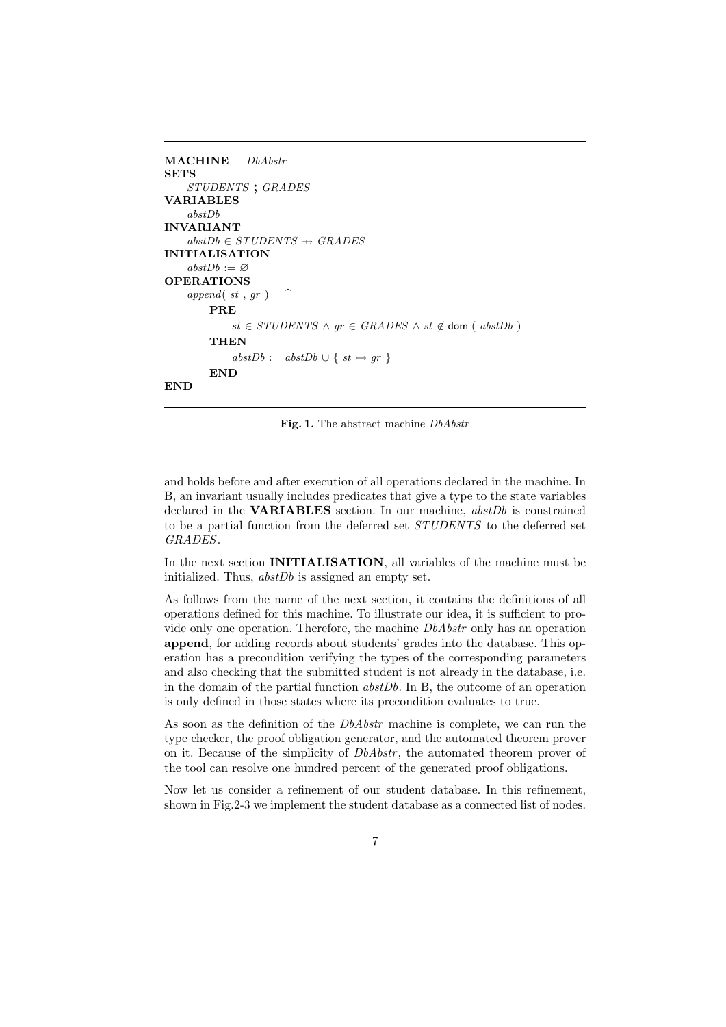```
MACHINE DbAbstr
SETS
    STUDENTS ; GRADES
VARIABLES
    abstDb
INVARIANT
    abstDb \in STUDENTS \rightarrow GRADESINITIALISATION
    abstDb := \varnothingOPERATIONS
    append(st, gr) \widehat{=}PRE
            st ∈ STUDENTS \land qr ∈ GRADES \land st ∉ dom ( abstDb)
        THEN
            abstDb := abstDb \cup \{ st \mapsto gr \}END
END
```
Fig. 1. The abstract machine DbAbstr

and holds before and after execution of all operations declared in the machine. In B, an invariant usually includes predicates that give a type to the state variables declared in the **VARIABLES** section. In our machine, *abstDb* is constrained to be a partial function from the deferred set STUDENTS to the deferred set GRADES.

In the next section INITIALISATION, all variables of the machine must be initialized. Thus,  $abstDb$  is assigned an empty set.

As follows from the name of the next section, it contains the definitions of all operations defined for this machine. To illustrate our idea, it is sufficient to provide only one operation. Therefore, the machine  $DbAbstr$  only has an operation append, for adding records about students' grades into the database. This operation has a precondition verifying the types of the corresponding parameters and also checking that the submitted student is not already in the database, i.e. in the domain of the partial function abstDb. In B, the outcome of an operation is only defined in those states where its precondition evaluates to true.

As soon as the definition of the DbAbstr machine is complete, we can run the type checker, the proof obligation generator, and the automated theorem prover on it. Because of the simplicity of  $DbAbstr$ , the automated theorem prover of the tool can resolve one hundred percent of the generated proof obligations.

Now let us consider a refinement of our student database. In this refinement, shown in Fig.2-3 we implement the student database as a connected list of nodes.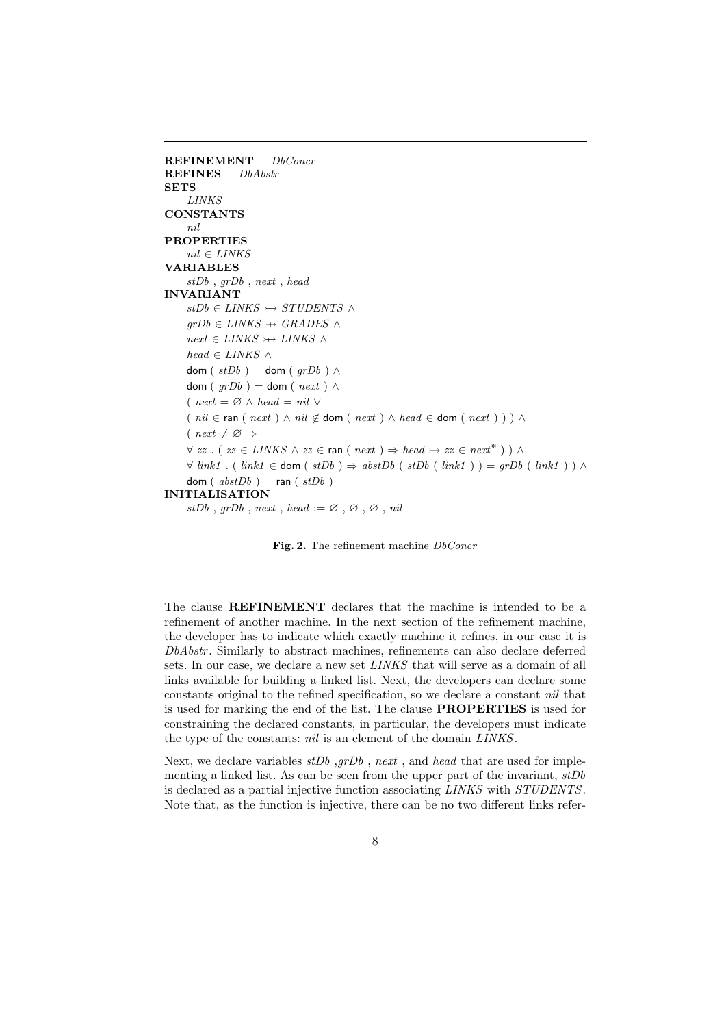```
REFINEMENT DbConcr
REFINES DbAbstr
SETS
     LINKS
CONSTANTS
     nil
PROPERTIES
     nil \in LINKSVARIABLES
     stDb, grDb, next, headINVARIANT
     stDb \in LINKS \rightarrow \textit{STUDENTS} \landgrDb \in LINKS \rightarrow GRADES \wedgenext \in LINKS \rightarrow \text{LINKS} \landhead ∈ LINKS \wedgedom ( stDb ) = dom ( grDb ) \wedgedom ( qrDb ) = dom ( next ) \wedge( next = ∅ ∧ head = nil ∨
     ( nil \in \text{ran} (next) \wedge nil \notin \text{dom} (next) \wedge head \in \text{dom} (next) ) \wedge \wedge(\text{next} \neq \emptyset \Rightarrow\forall zz \in \mathit{LINKS} \land zz \in \mathsf{ran} (\textit{next}) \Rightarrow \textit{head} \mapsto zz \in \textit{next}^* ) ) \land\forall link1 . ( link1 ∈ dom ( stDb ) \Rightarrow abstDb ( stDb ( link1 ) ) = grDb ( link1 ) ) \landdom (abstDb) = \text{ran}(stDb)INITIALISATION
     stDb, grDb, next, head := \emptyset, \emptyset, \emptyset, nil
```
Fig. 2. The refinement machine DbConcr

The clause REFINEMENT declares that the machine is intended to be a refinement of another machine. In the next section of the refinement machine, the developer has to indicate which exactly machine it refines, in our case it is DbAbstr . Similarly to abstract machines, refinements can also declare deferred sets. In our case, we declare a new set  $LINKS$  that will serve as a domain of all links available for building a linked list. Next, the developers can declare some constants original to the refined specification, so we declare a constant nil that is used for marking the end of the list. The clause PROPERTIES is used for constraining the declared constants, in particular, the developers must indicate the type of the constants: nil is an element of the domain LINKS.

Next, we declare variables  $stDb$ ,  $grDb$ ,  $next$ , and  $head$  that are used for implementing a linked list. As can be seen from the upper part of the invariant,  $\textit{stDb}$ is declared as a partial injective function associating LINKS with STUDENTS. Note that, as the function is injective, there can be no two different links refer-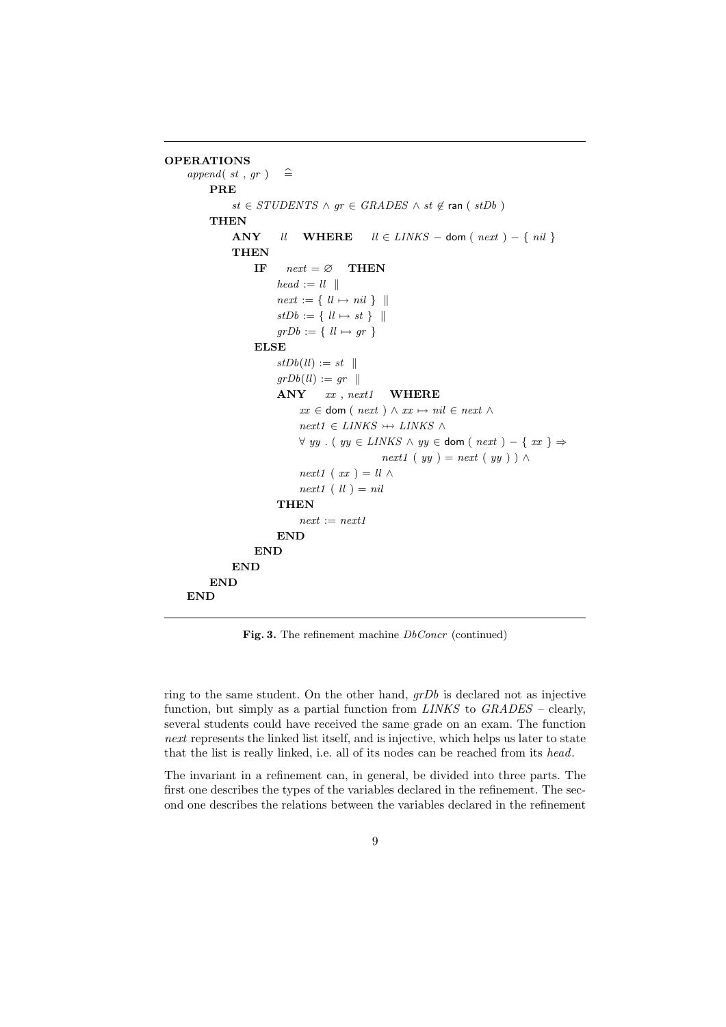```
OPERATIONS
     append(st, gr) \widehat{=}PRE
               st ∈ STUDENTS \land gr ∈ GRADES \land st ∉ ran ( stDb)
          THEN
               ANY ll WHERE ll \in LINKS - dom (next) - { nil }
               THEN
                     IF next = \varnothing THEN
                          head := ll ||
                          next := \{ \llbracket ll \mapsto nil \} \parallelstDb := \{ \llbracket l \mapsto st \rrbracket \} \parallelqrDb := \{ \llbracket ll \mapsto qr \}ELSE
                          stDb(\mathit{ll}) := st \parallelgrDb(\mathit{ll}) := gr \parallelANY xx, next1 WHERE
                               xx \in dom ( next ) \land xx \mapsto nil \in next \landnext1 \in LINKS \rightarrow \text{LINKS} ∧
                               \forall yy . ( yy ∈ LINKS \land yy ∈ dom ( next ) – { xx } \Rightarrownext1 ( yy ) = next ( yy ) ) \wedgenext1 ( xx ) = ll \wedgenext1 ( ll ) = nilTHEN
                               next := next1END
                     END
               END
          END
     END
```
Fig. 3. The refinement machine *DbConcr* (continued)

ring to the same student. On the other hand,  $qrDb$  is declared not as injective function, but simply as a partial function from  $LINKS$  to  $GRADES$  – clearly, several students could have received the same grade on an exam. The function next represents the linked list itself, and is injective, which helps us later to state that the list is really linked, i.e. all of its nodes can be reached from its head.

The invariant in a refinement can, in general, be divided into three parts. The first one describes the types of the variables declared in the refinement. The second one describes the relations between the variables declared in the refinement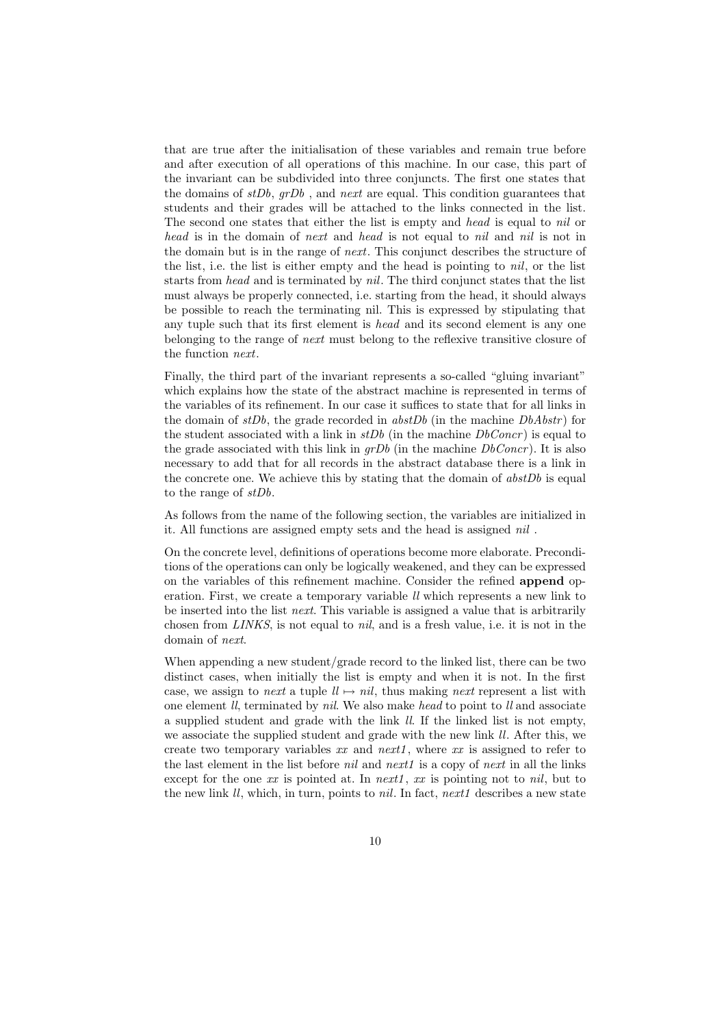that are true after the initialisation of these variables and remain true before and after execution of all operations of this machine. In our case, this part of the invariant can be subdivided into three conjuncts. The first one states that the domains of  $stDb, grDb$ , and next are equal. This condition guarantees that students and their grades will be attached to the links connected in the list. The second one states that either the list is empty and head is equal to nil or head is in the domain of next and head is not equal to nil and nil is not in the domain but is in the range of next. This conjunct describes the structure of the list, i.e. the list is either empty and the head is pointing to  $nil$ , or the list starts from head and is terminated by nil. The third conjunct states that the list must always be properly connected, i.e. starting from the head, it should always be possible to reach the terminating nil. This is expressed by stipulating that any tuple such that its first element is head and its second element is any one belonging to the range of *next* must belong to the reflexive transitive closure of the function next.

Finally, the third part of the invariant represents a so-called "gluing invariant" which explains how the state of the abstract machine is represented in terms of the variables of its refinement. In our case it suffices to state that for all links in the domain of  $stDb$ , the grade recorded in  $abstDb$  (in the machine  $DbAbstr$ ) for the student associated with a link in  $\kappa b$  (in the machine  $DbConcr$ ) is equal to the grade associated with this link in  $qrDb$  (in the machine  $DbConcr$ ). It is also necessary to add that for all records in the abstract database there is a link in the concrete one. We achieve this by stating that the domain of abstDb is equal to the range of stDb.

As follows from the name of the following section, the variables are initialized in it. All functions are assigned empty sets and the head is assigned nil .

On the concrete level, definitions of operations become more elaborate. Preconditions of the operations can only be logically weakened, and they can be expressed on the variables of this refinement machine. Consider the refined append operation. First, we create a temporary variable ll which represents a new link to be inserted into the list next. This variable is assigned a value that is arbitrarily chosen from LINKS, is not equal to nil, and is a fresh value, i.e. it is not in the domain of next.

When appending a new student/grade record to the linked list, there can be two distinct cases, when initially the list is empty and when it is not. In the first case, we assign to *next* a tuple  $ll \rightarrow nil$ , thus making *next* represent a list with one element ll, terminated by nil. We also make head to point to ll and associate a supplied student and grade with the link  $ll$ . If the linked list is not empty, we associate the supplied student and grade with the new link *ll*. After this, we create two temporary variables  $xx$  and  $next1$ , where  $xx$  is assigned to refer to the last element in the list before *nil* and *next1* is a copy of *next* in all the links except for the one  $xx$  is pointed at. In next1,  $xx$  is pointing not to nil, but to the new link  $ll$ , which, in turn, points to nil. In fact, next1 describes a new state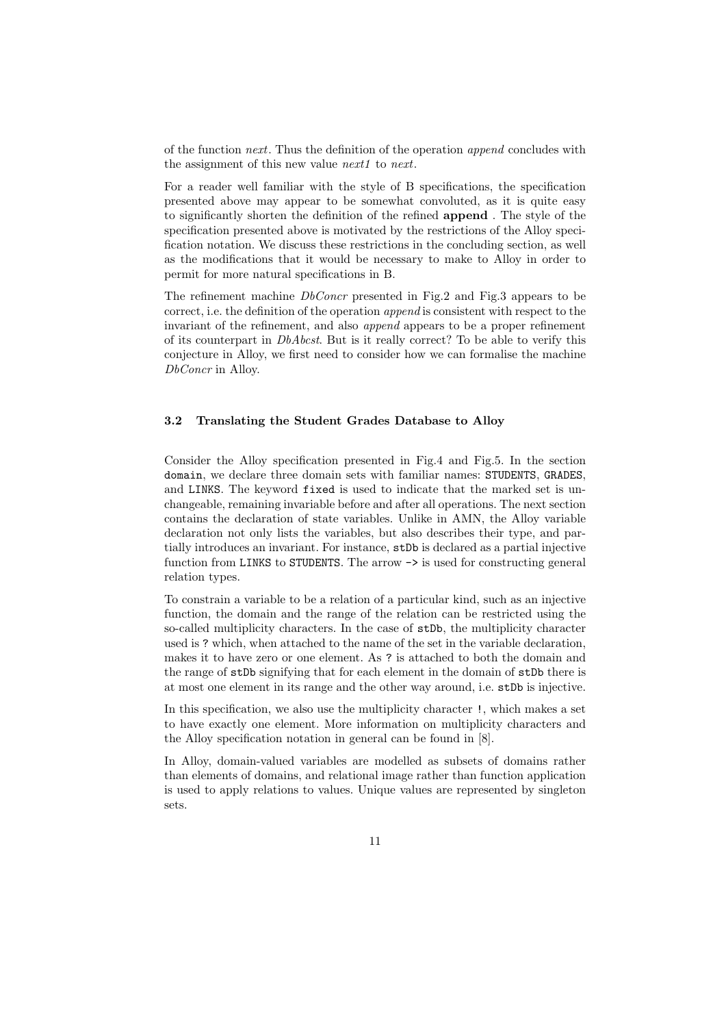of the function next. Thus the definition of the operation append concludes with the assignment of this new value *next* to *next*.

For a reader well familiar with the style of B specifications, the specification presented above may appear to be somewhat convoluted, as it is quite easy to significantly shorten the definition of the refined append . The style of the specification presented above is motivated by the restrictions of the Alloy specification notation. We discuss these restrictions in the concluding section, as well as the modifications that it would be necessary to make to Alloy in order to permit for more natural specifications in B.

The refinement machine DbConcr presented in Fig.2 and Fig.3 appears to be correct, i.e. the definition of the operation append is consistent with respect to the invariant of the refinement, and also append appears to be a proper refinement of its counterpart in DbAbcst. But is it really correct? To be able to verify this conjecture in Alloy, we first need to consider how we can formalise the machine DbConcr in Alloy.

### 3.2 Translating the Student Grades Database to Alloy

Consider the Alloy specification presented in Fig.4 and Fig.5. In the section domain, we declare three domain sets with familiar names: STUDENTS, GRADES, and LINKS. The keyword fixed is used to indicate that the marked set is unchangeable, remaining invariable before and after all operations. The next section contains the declaration of state variables. Unlike in AMN, the Alloy variable declaration not only lists the variables, but also describes their type, and partially introduces an invariant. For instance, stDb is declared as a partial injective function from LINKS to STUDENTS. The arrow -> is used for constructing general relation types.

To constrain a variable to be a relation of a particular kind, such as an injective function, the domain and the range of the relation can be restricted using the so-called multiplicity characters. In the case of stDb, the multiplicity character used is ? which, when attached to the name of the set in the variable declaration, makes it to have zero or one element. As ? is attached to both the domain and the range of stDb signifying that for each element in the domain of stDb there is at most one element in its range and the other way around, i.e. stDb is injective.

In this specification, we also use the multiplicity character !, which makes a set to have exactly one element. More information on multiplicity characters and the Alloy specification notation in general can be found in [8].

In Alloy, domain-valued variables are modelled as subsets of domains rather than elements of domains, and relational image rather than function application is used to apply relations to values. Unique values are represented by singleton sets.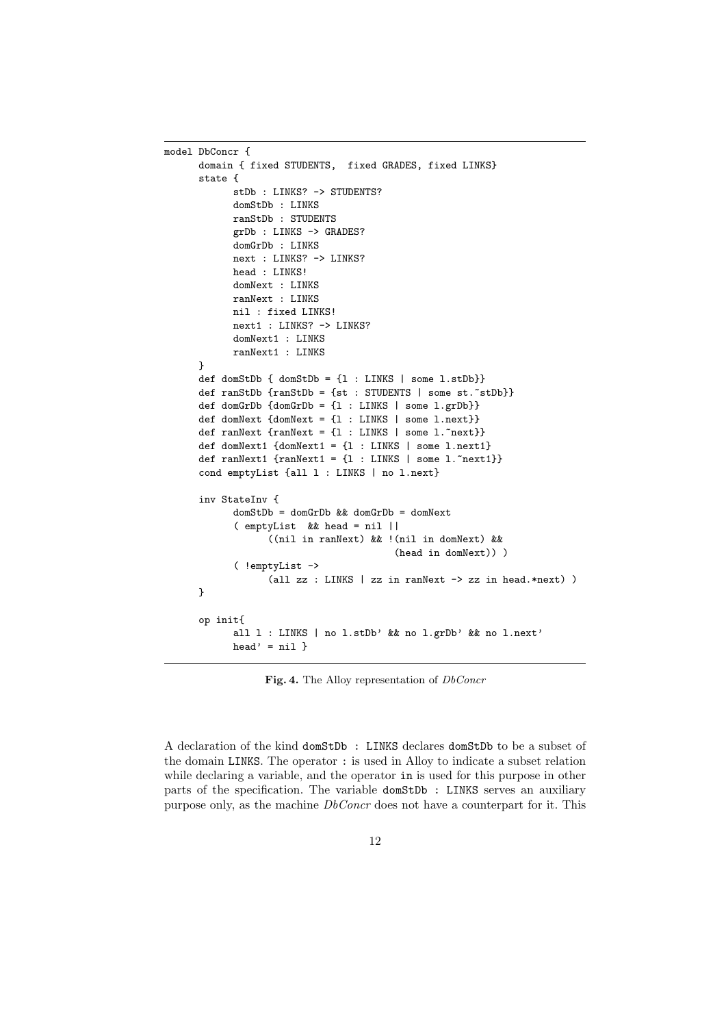```
model DbConcr {
      domain { fixed STUDENTS, fixed GRADES, fixed LINKS}
      state {
            stDb : LINKS? -> STUDENTS?
            domStDb : LINKS
            ranStDb : STUDENTS
            grDb : LINKS -> GRADES?
            domGrDb : LINKS
            next : LINKS? -> LINKS?
            head : LINKS!
            domNext : LINKS
            ranNext : LINKS
            nil : fixed LINKS!
            next1 : LINKS? -> LINKS?
            domNext1 : LINKS
            ranNext1 : LINKS
      }
      def domStDb { domStDb = \{1 : \text{LINKS} \mid \text{some } 1.\text{stDb}\}}
      def ranStDb {ranStDb = {st : STUDENTS | some st.~stDb}}
      def domGrDb {domGrDb = \{1 : LINKS | some 1.grDb\}}
      def domNext {domNext = {l : LINKS | some l.next}}
      def ranNext \{rankext = \{1 : LINKS | some 1."next\}\}def domNext1 {domNext1 = {1 : LINKS | some 1.next1}}def ranNext1 \{rankt1 = \{1 : LINKS | some 1.*next1\}\}cond emptyList {all 1 : LINKS | no l.next}
      inv StateInv {
            domStDb = domGrDb && domGrDb = domNext
            ( emptyList && head = nil ||
                   ((nil in ranNext) && !(nil in domNext) &&
                                          (head in domNext)) )
             ( !emptyList ->
                   (all zz : LINKS | zz in ranNext -> zz in head.*next) )
      }
      op init{
            all l : LINKS | no l.stDb' && no l.grDb' && no l.next'
            head' = ni1 }
```
Fig. 4. The Alloy representation of  $DbConcr$ 

A declaration of the kind domStDb : LINKS declares domStDb to be a subset of the domain LINKS. The operator : is used in Alloy to indicate a subset relation while declaring a variable, and the operator in is used for this purpose in other parts of the specification. The variable domStDb : LINKS serves an auxiliary purpose only, as the machine DbConcr does not have a counterpart for it. This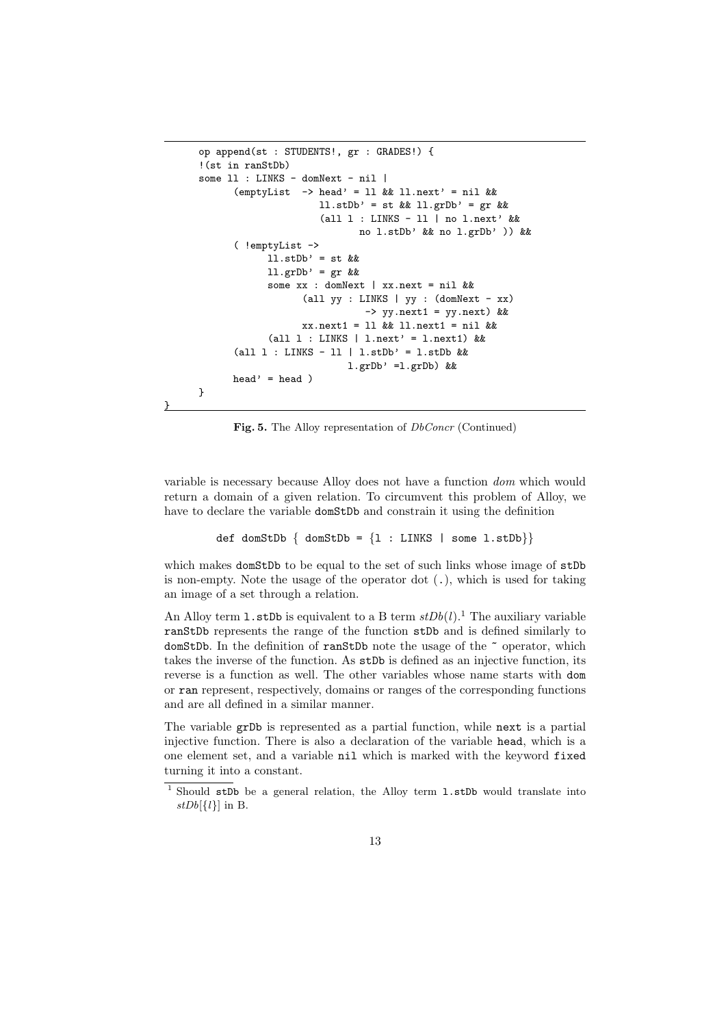```
op append(st : STUDENTS!, gr : GRADES!) {
!(st in ranStDb)
some 11 : LINKS - domNext - nil |
      (emptyList \rightarrow head' = 11 \& 11.next' = nil \& 111.stDb' = st \&& 11.grDb' = gr \&&(all l : LINKS - ll | no l.next' &&
                              no l.stDb' && no l.grDb' )) &&
      ( !emptyList ->
             11.stDb' = st &&
            11.grDb' = gr &&
             some xx : domNext | xx.next = nil &&
                   (all yy : LINKS | yy : (domNext - xx)
                               -> yy.next1 = yy.next) &&
                   xx.next1 = ll && ll.next1 = nil &&
             \text{(all 1 : LINKS } | \text{ l.next'} = \text{ l.next1}) &&
      (all 1 : LINKS - 11 | 1.stDb' = 1.stDb  &l.grDb' =l.grDb) &&
      head' = head )
}
```
Fig. 5. The Alloy representation of DbConcr (Continued)

}

variable is necessary because Alloy does not have a function dom which would return a domain of a given relation. To circumvent this problem of Alloy, we have to declare the variable domStDb and constrain it using the definition

def domStDb  $\{ domStDb = \{1 : LINKS | some 1.stDb\} \}$ 

which makes domStDb to be equal to the set of such links whose image of stDb is non-empty. Note the usage of the operator dot (.), which is used for taking an image of a set through a relation.

An Alloy term 1.stDb is equivalent to a B term  $stDb(l).$ <sup>1</sup> The auxiliary variable ranStDb represents the range of the function stDb and is defined similarly to domStDb. In the definition of ranStDb note the usage of the ~ operator, which takes the inverse of the function. As stDb is defined as an injective function, its reverse is a function as well. The other variables whose name starts with dom or ran represent, respectively, domains or ranges of the corresponding functions and are all defined in a similar manner.

The variable grDb is represented as a partial function, while next is a partial injective function. There is also a declaration of the variable head, which is a one element set, and a variable nil which is marked with the keyword fixed turning it into a constant.

<sup>1</sup> Should stDb be a general relation, the Alloy term l.stDb would translate into  $stDb[\{l\}]$  in B.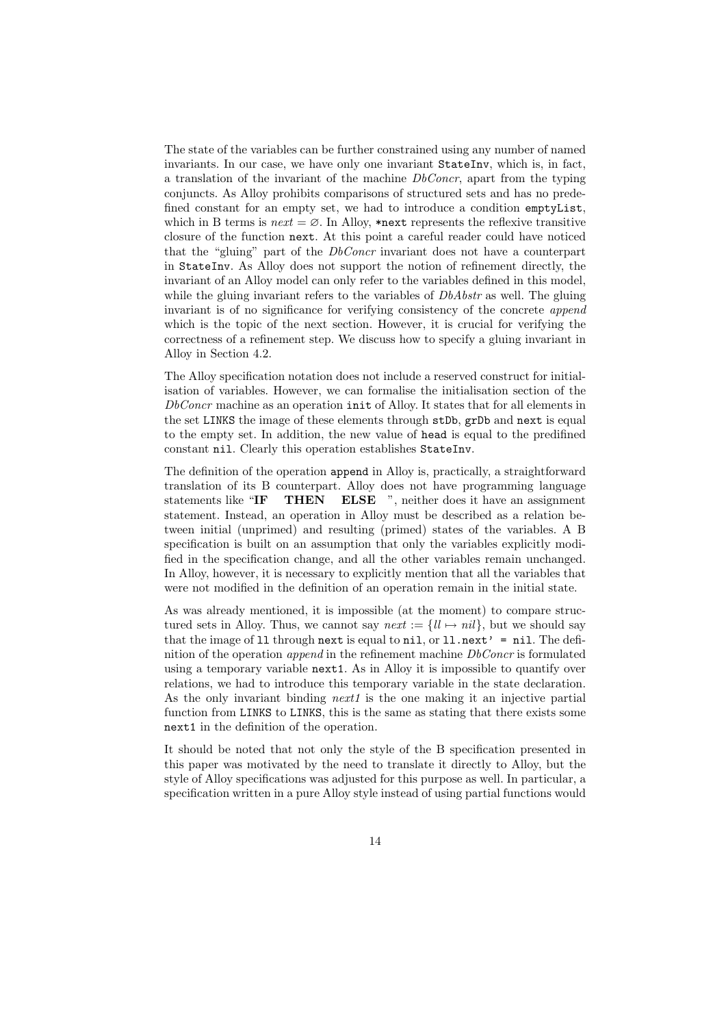The state of the variables can be further constrained using any number of named invariants. In our case, we have only one invariant **StateInv**, which is, in fact, a translation of the invariant of the machine  $DbConcr$ , apart from the typing conjuncts. As Alloy prohibits comparisons of structured sets and has no predefined constant for an empty set, we had to introduce a condition emptyList, which in B terms is  $next = \emptyset$ . In Alloy, \*next represents the reflexive transitive closure of the function next. At this point a careful reader could have noticed that the "gluing" part of the DbConcr invariant does not have a counterpart in StateInv. As Alloy does not support the notion of refinement directly, the invariant of an Alloy model can only refer to the variables defined in this model, while the gluing invariant refers to the variables of  $DbAbstr$  as well. The gluing invariant is of no significance for verifying consistency of the concrete append which is the topic of the next section. However, it is crucial for verifying the correctness of a refinement step. We discuss how to specify a gluing invariant in Alloy in Section 4.2.

The Alloy specification notation does not include a reserved construct for initialisation of variables. However, we can formalise the initialisation section of the DbConcr machine as an operation init of Alloy. It states that for all elements in the set LINKS the image of these elements through stDb, grDb and next is equal to the empty set. In addition, the new value of head is equal to the predifined constant nil. Clearly this operation establishes StateInv.

The definition of the operation append in Alloy is, practically, a straightforward translation of its B counterpart. Alloy does not have programming language statements like "IF THEN ELSE", neither does it have an assignment statement. Instead, an operation in Alloy must be described as a relation between initial (unprimed) and resulting (primed) states of the variables. A B specification is built on an assumption that only the variables explicitly modified in the specification change, and all the other variables remain unchanged. In Alloy, however, it is necessary to explicitly mention that all the variables that were not modified in the definition of an operation remain in the initial state.

As was already mentioned, it is impossible (at the moment) to compare structured sets in Alloy. Thus, we cannot say  $next := \{ll \mapsto nil\}$ , but we should say that the image of 11 through next is equal to  $nil$ , or  $ll$ .next' = nil. The definition of the operation *append* in the refinement machine *DbConcr* is formulated using a temporary variable next1. As in Alloy it is impossible to quantify over relations, we had to introduce this temporary variable in the state declaration. As the only invariant binding  $next1$  is the one making it an injective partial function from LINKS to LINKS, this is the same as stating that there exists some next1 in the definition of the operation.

It should be noted that not only the style of the B specification presented in this paper was motivated by the need to translate it directly to Alloy, but the style of Alloy specifications was adjusted for this purpose as well. In particular, a specification written in a pure Alloy style instead of using partial functions would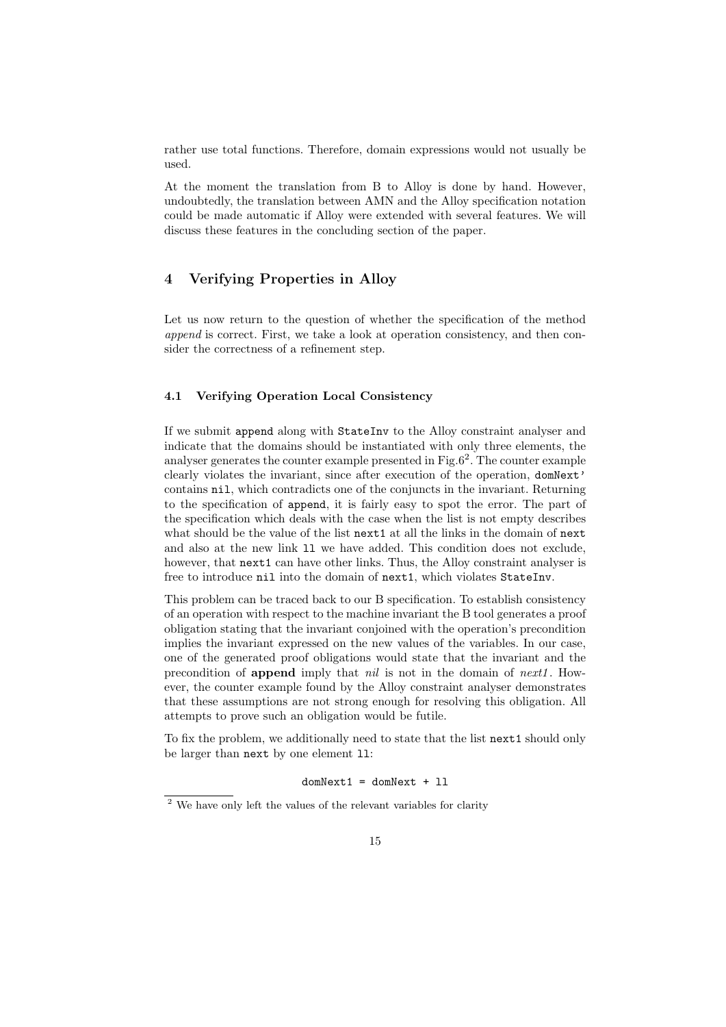rather use total functions. Therefore, domain expressions would not usually be used.

At the moment the translation from B to Alloy is done by hand. However, undoubtedly, the translation between AMN and the Alloy specification notation could be made automatic if Alloy were extended with several features. We will discuss these features in the concluding section of the paper.

## 4 Verifying Properties in Alloy

Let us now return to the question of whether the specification of the method append is correct. First, we take a look at operation consistency, and then consider the correctness of a refinement step.

### 4.1 Verifying Operation Local Consistency

If we submit append along with StateInv to the Alloy constraint analyser and indicate that the domains should be instantiated with only three elements, the analyser generates the counter example presented in Fig. $6^2$ . The counter example clearly violates the invariant, since after execution of the operation, domNext' contains nil, which contradicts one of the conjuncts in the invariant. Returning to the specification of append, it is fairly easy to spot the error. The part of the specification which deals with the case when the list is not empty describes what should be the value of the list next1 at all the links in the domain of next and also at the new link ll we have added. This condition does not exclude, however, that next1 can have other links. Thus, the Alloy constraint analyser is free to introduce nil into the domain of next1, which violates StateInv.

This problem can be traced back to our B specification. To establish consistency of an operation with respect to the machine invariant the B tool generates a proof obligation stating that the invariant conjoined with the operation's precondition implies the invariant expressed on the new values of the variables. In our case, one of the generated proof obligations would state that the invariant and the precondition of append imply that *nil* is not in the domain of *next1*. However, the counter example found by the Alloy constraint analyser demonstrates that these assumptions are not strong enough for resolving this obligation. All attempts to prove such an obligation would be futile.

To fix the problem, we additionally need to state that the list next1 should only be larger than next by one element ll:

### $domNext1 = domNext + 11$

<sup>2</sup> We have only left the values of the relevant variables for clarity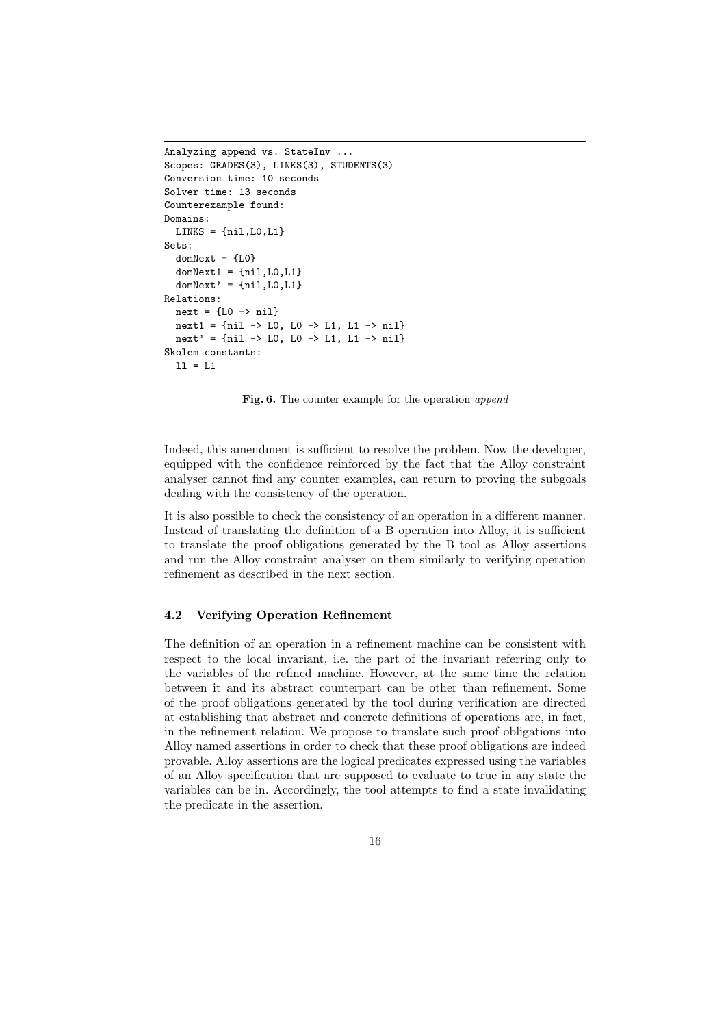```
Analyzing append vs. StateInv ...
Scopes: GRADES(3), LINKS(3), STUDENTS(3)
Conversion time: 10 seconds
Solver time: 13 seconds
Counterexample found:
Domains:
  LINKS = \{nil, L0, L1\}Sets:
  domNext = \{L0\}domNext1 = \{nil, L0, L1\}domNext' = \{nil, L0, L1\}Relations:
  next = \{L0 \rightarrow nil\}next1 = {nil -> L0, L0 -> L1, L1 -> nil}
  next' = \{nil \rightarrow L0, L0 \rightarrow L1, L1 \rightarrow nil\}Skolem constants:
  ll = L1
```
Fig. 6. The counter example for the operation *append* 

Indeed, this amendment is sufficient to resolve the problem. Now the developer, equipped with the confidence reinforced by the fact that the Alloy constraint analyser cannot find any counter examples, can return to proving the subgoals dealing with the consistency of the operation.

It is also possible to check the consistency of an operation in a different manner. Instead of translating the definition of a B operation into Alloy, it is sufficient to translate the proof obligations generated by the B tool as Alloy assertions and run the Alloy constraint analyser on them similarly to verifying operation refinement as described in the next section.

#### 4.2 Verifying Operation Refinement

The definition of an operation in a refinement machine can be consistent with respect to the local invariant, i.e. the part of the invariant referring only to the variables of the refined machine. However, at the same time the relation between it and its abstract counterpart can be other than refinement. Some of the proof obligations generated by the tool during verification are directed at establishing that abstract and concrete definitions of operations are, in fact, in the refinement relation. We propose to translate such proof obligations into Alloy named assertions in order to check that these proof obligations are indeed provable. Alloy assertions are the logical predicates expressed using the variables of an Alloy specification that are supposed to evaluate to true in any state the variables can be in. Accordingly, the tool attempts to find a state invalidating the predicate in the assertion.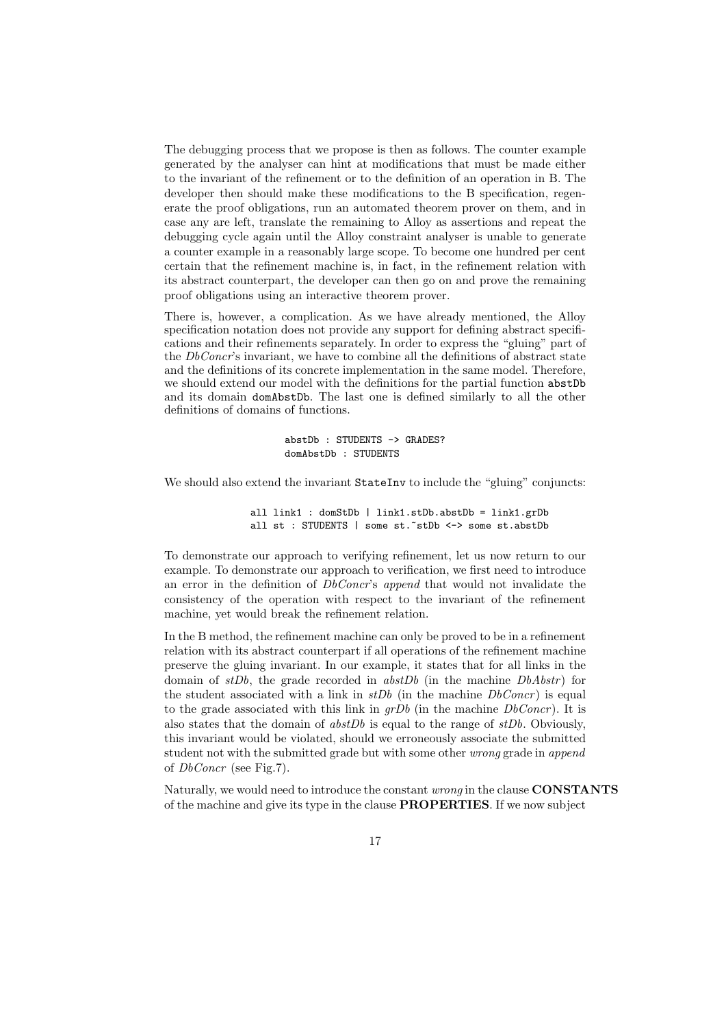The debugging process that we propose is then as follows. The counter example generated by the analyser can hint at modifications that must be made either to the invariant of the refinement or to the definition of an operation in B. The developer then should make these modifications to the B specification, regenerate the proof obligations, run an automated theorem prover on them, and in case any are left, translate the remaining to Alloy as assertions and repeat the debugging cycle again until the Alloy constraint analyser is unable to generate a counter example in a reasonably large scope. To become one hundred per cent certain that the refinement machine is, in fact, in the refinement relation with its abstract counterpart, the developer can then go on and prove the remaining proof obligations using an interactive theorem prover.

There is, however, a complication. As we have already mentioned, the Alloy specification notation does not provide any support for defining abstract specifications and their refinements separately. In order to express the "gluing" part of the  $DbConcr's$  invariant, we have to combine all the definitions of abstract state and the definitions of its concrete implementation in the same model. Therefore, we should extend our model with the definitions for the partial function abstDb and its domain domAbstDb. The last one is defined similarly to all the other definitions of domains of functions.

> abstDb : STUDENTS -> GRADES? domAbstDb : STUDENTS

We should also extend the invariant StateInv to include the "gluing" conjuncts:

all link1 : domStDb | link1.stDb.abstDb = link1.grDb all st : STUDENTS | some st.~stDb <-> some st.abstDb

To demonstrate our approach to verifying refinement, let us now return to our example. To demonstrate our approach to verification, we first need to introduce an error in the definition of DbConcr's append that would not invalidate the consistency of the operation with respect to the invariant of the refinement machine, yet would break the refinement relation.

In the B method, the refinement machine can only be proved to be in a refinement relation with its abstract counterpart if all operations of the refinement machine preserve the gluing invariant. In our example, it states that for all links in the domain of  $stDb$ , the grade recorded in  $abstDb$  (in the machine  $DbAbstr$ ) for the student associated with a link in  $stDb$  (in the machine  $DbConcr$ ) is equal to the grade associated with this link in  $grDb$  (in the machine  $DbConcr$ ). It is also states that the domain of  $abstDb$  is equal to the range of  $stDb$ . Obviously, this invariant would be violated, should we erroneously associate the submitted student not with the submitted grade but with some other *wrong* grade in *append* of DbConcr (see Fig.7).

Naturally, we would need to introduce the constant wrong in the clause CONSTANTS of the machine and give its type in the clause PROPERTIES. If we now subject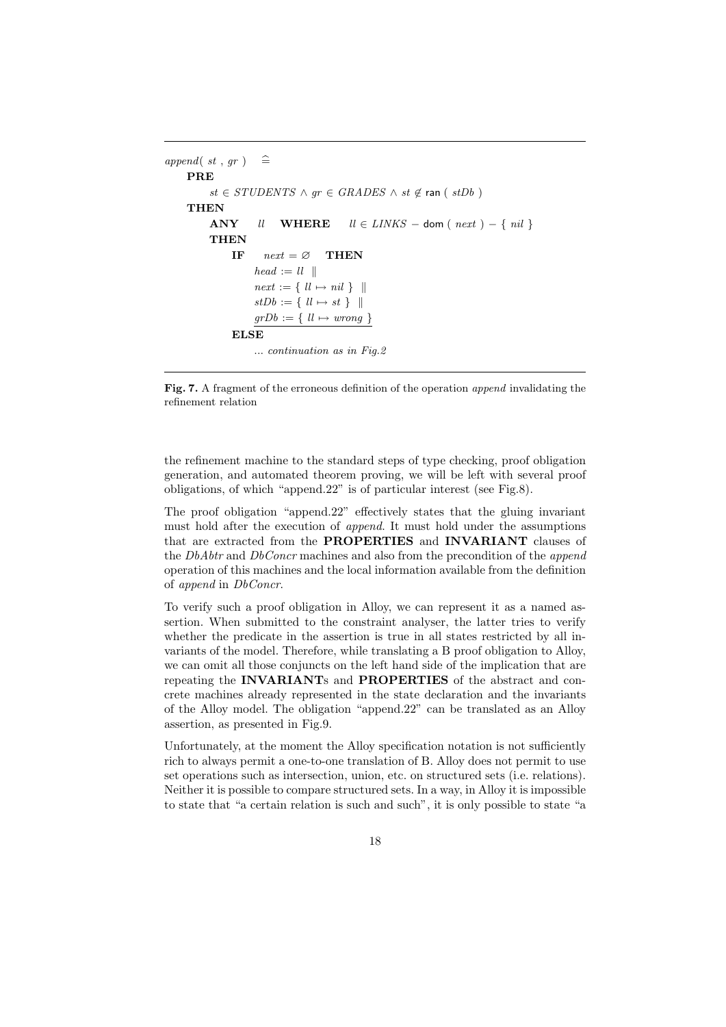```
append( st, gr) \widehat{=}PRE
          st \in STUDENTS \land qr \in GRADES \land st \notin ran(\ stDb)THEN
          ANY ll WHERE ll \in LINKS - dom (next) - { nil }
          THEN
               IF next = \varnothing THEN
                    head := ll ||
                    next := \{ ll \mapsto nil \}stDb := \{ \llbracket l \mapsto st \rrbracket \} \parallelgrDb := \{ \llbracket ll \mapsto wrong \}ELSE
                    ... continuation as in Fig.2
```
Fig. 7. A fragment of the erroneous definition of the operation append invalidating the refinement relation

the refinement machine to the standard steps of type checking, proof obligation generation, and automated theorem proving, we will be left with several proof obligations, of which "append.22" is of particular interest (see Fig.8).

The proof obligation "append.22" effectively states that the gluing invariant must hold after the execution of append. It must hold under the assumptions that are extracted from the PROPERTIES and INVARIANT clauses of the DbAbtr and DbConcr machines and also from the precondition of the append operation of this machines and the local information available from the definition of append in DbConcr.

To verify such a proof obligation in Alloy, we can represent it as a named assertion. When submitted to the constraint analyser, the latter tries to verify whether the predicate in the assertion is true in all states restricted by all invariants of the model. Therefore, while translating a B proof obligation to Alloy, we can omit all those conjuncts on the left hand side of the implication that are repeating the INVARIANTs and PROPERTIES of the abstract and concrete machines already represented in the state declaration and the invariants of the Alloy model. The obligation "append.22" can be translated as an Alloy assertion, as presented in Fig.9.

Unfortunately, at the moment the Alloy specification notation is not sufficiently rich to always permit a one-to-one translation of B. Alloy does not permit to use set operations such as intersection, union, etc. on structured sets (i.e. relations). Neither it is possible to compare structured sets. In a way, in Alloy it is impossible to state that "a certain relation is such and such", it is only possible to state "a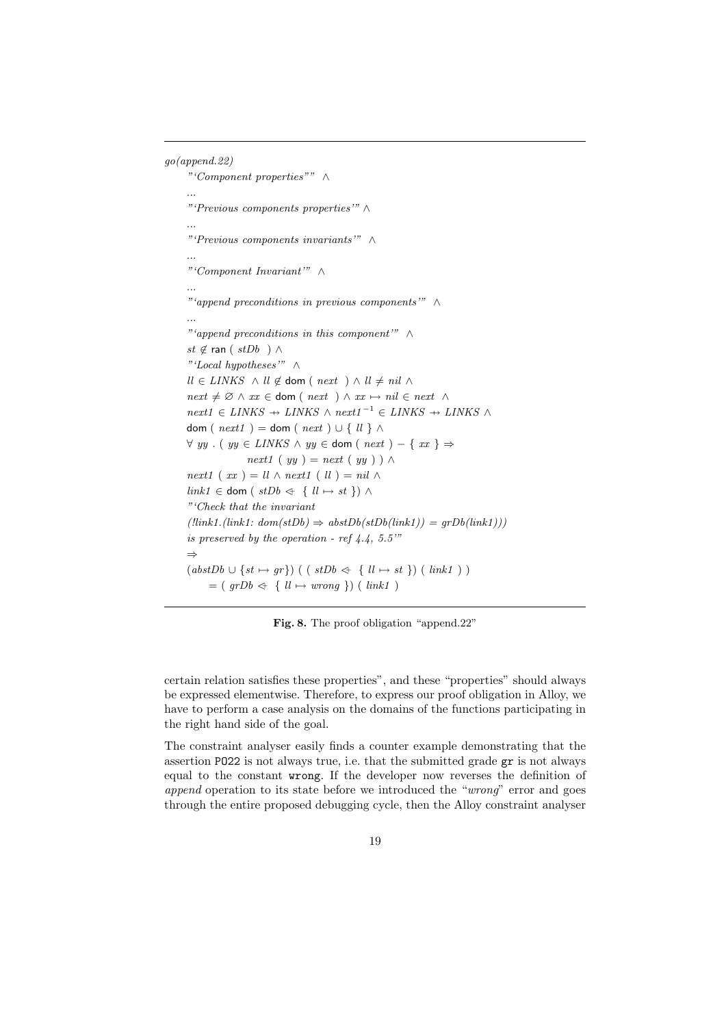go(append.22)

```
"'Component properties"" ∧
...
"'Previous components properties'" ∧
...
"'Previous components invariants'" ∧
...
"'Component Invariant'" ∧
...
"'append preconditions in previous components'" ∧
...
"'append preconditions in this component'" ∧
st \notin \text{ran} (\, stDb \, ) \wedge"'Local hypotheses'" ∧
ll \in LINKS \land ll \notin \text{dom}( next) \land ll \neq nil \landnext \neq \emptyset \land xx \in \text{dom} (next) \land xx \mapsto nil \in next \landnext1 \in LINKS \rightarrow LINKS \land next1^{-1} \in LINKS \rightarrow LINKS \landdom ( next1 ) = dom ( next ) ∪ { ll } \wedge\forall yy . ( yy ∈ LINKS \land yy ∈ dom ( next ) – { xx } \Rightarrownext1 ( yy ) = next ( yy ) ) \wedgenext1 ( xx ) = ll \land next1 ( ll ) = nil \landlink1 ∈ dom (stDb \leftrightarrow { ll \rightarrow st }) ∧
"'Check that the invariant
(llink1.(link1: dom(stDb) \Rightarrow abstDb(stDb(link1)) = qrDb(link1))is preserved by the operation - ref 4.4, 5.5"
⇒
(abstDb \cup \{st \mapsto gr\}) ( (stDb \Leftrightarrow \{ ll \mapsto st \}) ( link1 ))
     = (qrDb \Leftrightarrow \{ ll \mapsto wrong \}) ( link1)
```
Fig. 8. The proof obligation "append.22"

certain relation satisfies these properties", and these "properties" should always be expressed elementwise. Therefore, to express our proof obligation in Alloy, we have to perform a case analysis on the domains of the functions participating in the right hand side of the goal.

The constraint analyser easily finds a counter example demonstrating that the assertion PO22 is not always true, i.e. that the submitted grade gr is not always equal to the constant wrong. If the developer now reverses the definition of append operation to its state before we introduced the "wrong" error and goes through the entire proposed debugging cycle, then the Alloy constraint analyser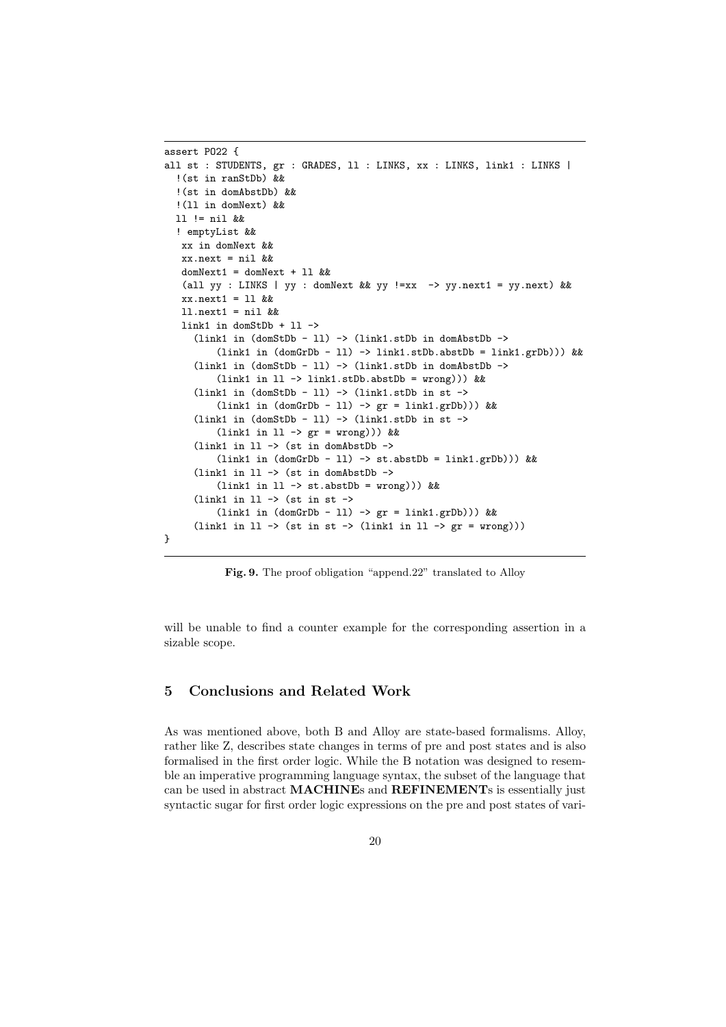```
assert PO22 {
all st : STUDENTS, gr : GRADES, ll : LINKS, xx : LINKS, link1 : LINKS |
  !(st in ranStDb) &&
  !(st in domAbstDb) &&
  !(ll in domNext) &&
 ll != nil &&
  ! emptyList &&
   xx in domNext &&
   xx.next = nil &&
   domNext1 = domNext + 11 &&
   (all yy : LINKS | yy : domNext && yy !=xx -> yy.next1 = yy.next) &&
   xx.next1 = 11 & &
   11.next1 = nil &&
   link1 in domStDb + ll ->
     (link1 in (domStDb - 11) -> (link1.stDb in domAbstDb -(link1 in (domGrDb - 11) \rightarrow link1.stDb.abstDb = link1.grDb))) &&
     (link1 in domStDb - 11) -> (link1.stDb in domAbstDb ->
          (link1 in ll -> link1.stDb.abstDb = wrong))) &&
     (link1 in (domStDb - 11) -> (link1.stDb in st ->
          (link1 in (domGrDb - 11) \rightarrow gr = link1.grDb))) &&
     (link1 in (domStDb - 11) -> (link1.stDb in st ->
          (link1 in 11 \rightarrow gr = wrong)) &&
     (link1 in 11 \rightarrow (st in domAbstDb \rightarrow(link1 in (domGrDb - 11) \rightarrow st.abstDb = link1.grDb))) &&
     (link1 in 11 \rightarrow (st in domAbstDb ->
          (link1 in ll1 -> st.abstDb = wrong))) &&
     (link1 in 11 \rightarrow (st in st \rightarrow(link1 in (domGrDb - 11) \rightarrow gr = link1.grDb))) &&
     (link1 in 11 \rightarrow (st in st \rightarrow (link1 in 11 \rightarrow gr = wrong)))
}
```
Fig. 9. The proof obligation "append.22" translated to Alloy

will be unable to find a counter example for the corresponding assertion in a sizable scope.

# 5 Conclusions and Related Work

As was mentioned above, both B and Alloy are state-based formalisms. Alloy, rather like Z, describes state changes in terms of pre and post states and is also formalised in the first order logic. While the B notation was designed to resemble an imperative programming language syntax, the subset of the language that can be used in abstract MACHINEs and REFINEMENTs is essentially just syntactic sugar for first order logic expressions on the pre and post states of vari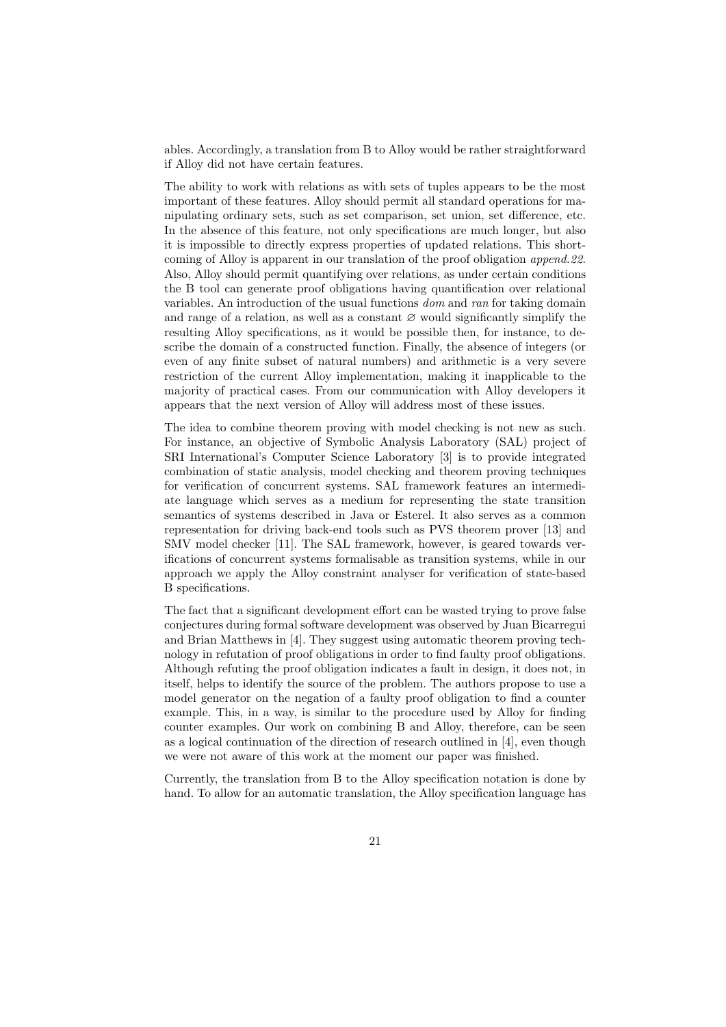ables. Accordingly, a translation from B to Alloy would be rather straightforward if Alloy did not have certain features.

The ability to work with relations as with sets of tuples appears to be the most important of these features. Alloy should permit all standard operations for manipulating ordinary sets, such as set comparison, set union, set difference, etc. In the absence of this feature, not only specifications are much longer, but also it is impossible to directly express properties of updated relations. This shortcoming of Alloy is apparent in our translation of the proof obligation append.22. Also, Alloy should permit quantifying over relations, as under certain conditions the B tool can generate proof obligations having quantification over relational variables. An introduction of the usual functions dom and ran for taking domain and range of a relation, as well as a constant  $\varnothing$  would significantly simplify the resulting Alloy specifications, as it would be possible then, for instance, to describe the domain of a constructed function. Finally, the absence of integers (or even of any finite subset of natural numbers) and arithmetic is a very severe restriction of the current Alloy implementation, making it inapplicable to the majority of practical cases. From our communication with Alloy developers it appears that the next version of Alloy will address most of these issues.

The idea to combine theorem proving with model checking is not new as such. For instance, an objective of Symbolic Analysis Laboratory (SAL) project of SRI International's Computer Science Laboratory [3] is to provide integrated combination of static analysis, model checking and theorem proving techniques for verification of concurrent systems. SAL framework features an intermediate language which serves as a medium for representing the state transition semantics of systems described in Java or Esterel. It also serves as a common representation for driving back-end tools such as PVS theorem prover [13] and SMV model checker [11]. The SAL framework, however, is geared towards verifications of concurrent systems formalisable as transition systems, while in our approach we apply the Alloy constraint analyser for verification of state-based B specifications.

The fact that a significant development effort can be wasted trying to prove false conjectures during formal software development was observed by Juan Bicarregui and Brian Matthews in [4]. They suggest using automatic theorem proving technology in refutation of proof obligations in order to find faulty proof obligations. Although refuting the proof obligation indicates a fault in design, it does not, in itself, helps to identify the source of the problem. The authors propose to use a model generator on the negation of a faulty proof obligation to find a counter example. This, in a way, is similar to the procedure used by Alloy for finding counter examples. Our work on combining B and Alloy, therefore, can be seen as a logical continuation of the direction of research outlined in [4], even though we were not aware of this work at the moment our paper was finished.

Currently, the translation from B to the Alloy specification notation is done by hand. To allow for an automatic translation, the Alloy specification language has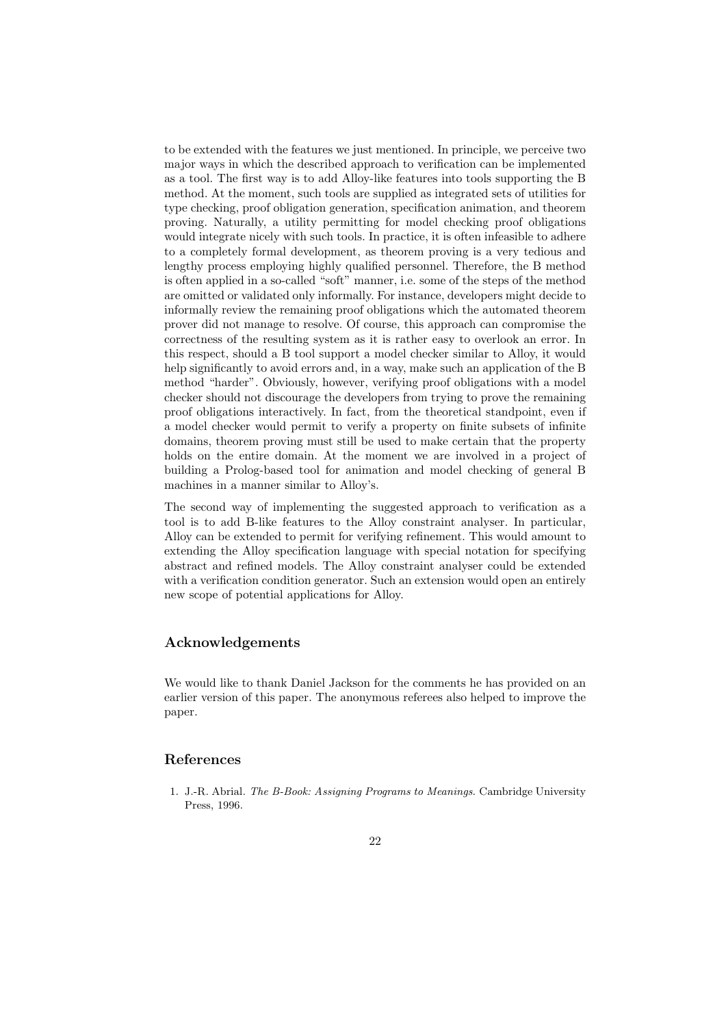to be extended with the features we just mentioned. In principle, we perceive two major ways in which the described approach to verification can be implemented as a tool. The first way is to add Alloy-like features into tools supporting the B method. At the moment, such tools are supplied as integrated sets of utilities for type checking, proof obligation generation, specification animation, and theorem proving. Naturally, a utility permitting for model checking proof obligations would integrate nicely with such tools. In practice, it is often infeasible to adhere to a completely formal development, as theorem proving is a very tedious and lengthy process employing highly qualified personnel. Therefore, the B method is often applied in a so-called "soft" manner, i.e. some of the steps of the method are omitted or validated only informally. For instance, developers might decide to informally review the remaining proof obligations which the automated theorem prover did not manage to resolve. Of course, this approach can compromise the correctness of the resulting system as it is rather easy to overlook an error. In this respect, should a B tool support a model checker similar to Alloy, it would help significantly to avoid errors and, in a way, make such an application of the B method "harder". Obviously, however, verifying proof obligations with a model checker should not discourage the developers from trying to prove the remaining proof obligations interactively. In fact, from the theoretical standpoint, even if a model checker would permit to verify a property on finite subsets of infinite domains, theorem proving must still be used to make certain that the property holds on the entire domain. At the moment we are involved in a project of building a Prolog-based tool for animation and model checking of general B machines in a manner similar to Alloy's.

The second way of implementing the suggested approach to verification as a tool is to add B-like features to the Alloy constraint analyser. In particular, Alloy can be extended to permit for verifying refinement. This would amount to extending the Alloy specification language with special notation for specifying abstract and refined models. The Alloy constraint analyser could be extended with a verification condition generator. Such an extension would open an entirely new scope of potential applications for Alloy.

#### Acknowledgements

We would like to thank Daniel Jackson for the comments he has provided on an earlier version of this paper. The anonymous referees also helped to improve the paper.

### References

1. J.-R. Abrial. The B-Book: Assigning Programs to Meanings. Cambridge University Press, 1996.